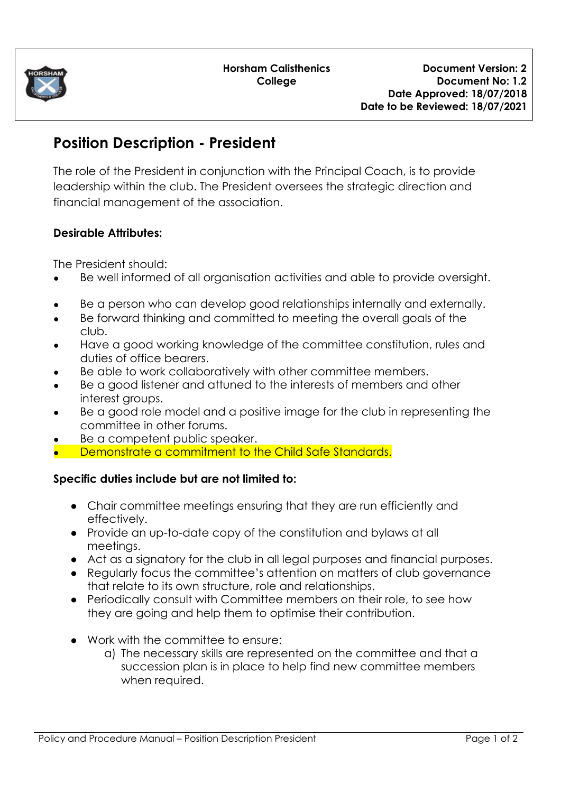

## **Position Description - President**

The role of the President in conjunction with the Principal Coach, is to provide leadership within the club. The President oversees the strategic direction and financial management of the association.

## **Desirable Attributes:**

The President should:

- Be well informed of all organisation activities and able to provide oversight.
- Be a person who can develop good relationships internally and externally.
- Be forward thinking and committed to meeting the overall goals of the club.
- Have a good working knowledge of the committee constitution, rules and duties of office bearers.
- Be able to work collaboratively with other committee members.
- Be a good listener and attuned to the interests of members and other interest groups.
- Be a good role model and a positive image for the club in representing the committee in other forums.
- Be a competent public speaker.
- Demonstrate a commitment to the Child Safe Standards.

## **Specific duties include but are not limited to:**

- Chair committee meetings ensuring that they are run efficiently and effectively.
- Provide an up-to-date copy of the constitution and bylaws at all meetings.
- Act as a signatory for the club in all legal purposes and financial purposes.
- Regularly focus the committee's attention on matters of club governance that relate to its own structure, role and relationships.
- Periodically consult with Committee members on their role, to see how they are going and help them to optimise their contribution.
- Work with the committee to ensure:
	- a) The necessary skills are represented on the committee and that a succession plan is in place to help find new committee members when required.